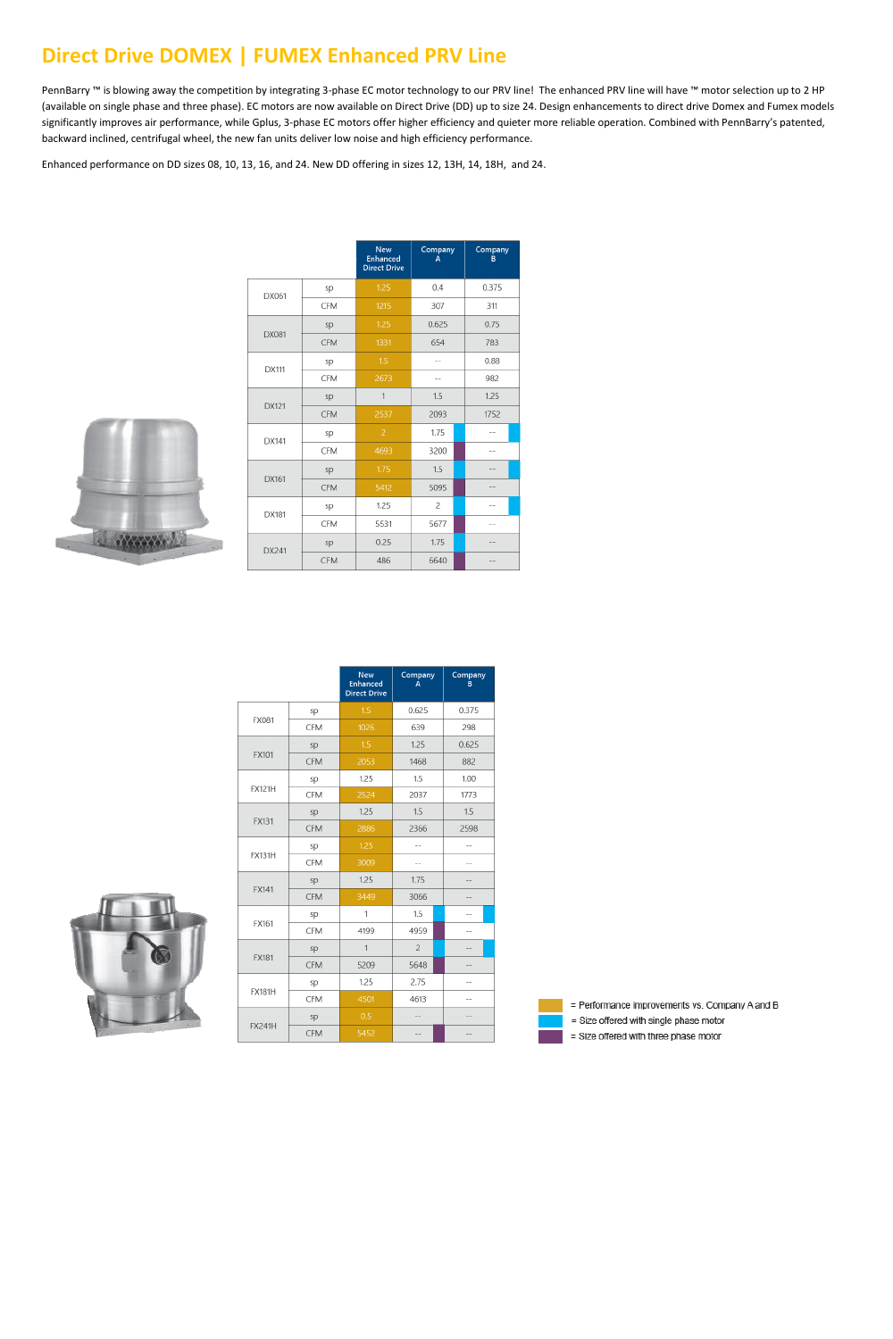#### **Direct Drive DOMEX | FUMEX Enhanced PRV Line**

PennBarry ™ is blowing away the competition by integrating 3-phase EC motor technology to our PRV line! The enhanced PRV line will have ™ motor selection up to 2 HP (available on single phase and three phase). EC motors are now available on Direct Drive (DD) up to size 24. Design enhancements to direct drive Domex and Fumex models significantly improves air performance, while Gplus, 3-phase EC motors offer higher efficiency and quieter more reliable operation. Combined with PennBarry's patented, backward inclined, centrifugal wheel, the new fan units deliver low noise and high efficiency performance.

Enhanced performance on DD sizes 08, 10, 13, 16, and 24. New DD offering in sizes 12, 13H, 14, 18H, and 24.



|              |            | <b>New</b><br><b>Enhanced</b><br><b>Direct Drive</b> | Company<br>A   | Company<br>B |
|--------------|------------|------------------------------------------------------|----------------|--------------|
| DX061        | sp         | 1.25                                                 | 0.4            | 0.375        |
|              | <b>CFM</b> | 1215                                                 | 307            | 311          |
|              | sp         | 1.25                                                 | 0.625          | 0.75         |
| <b>DX081</b> | <b>CFM</b> | 1331                                                 | 654            | 783          |
| DX111        | sp         | 1.5                                                  |                | 0.88         |
|              | <b>CFM</b> | 2673                                                 |                | 982          |
| <b>DX121</b> | sp         | $\mathbf{1}$                                         | 1.5            | 1.25         |
|              | <b>CFM</b> | 2537                                                 | 2093           | 1752         |
| DX141        | sp         | $\overline{c}$                                       | 1.75           |              |
|              | <b>CFM</b> | 4693                                                 | 3200           | $-$          |
| DX161        | sp         | 1.75                                                 | 1.5            |              |
|              | <b>CFM</b> | 5412                                                 | 5095           | --           |
| DX181        | sp         | 1.25                                                 | $\overline{c}$ | --           |
|              | <b>CFM</b> | 5531                                                 | 5677           | $-$          |
| DX241        | sp         | 0.25                                                 | 1.75           |              |
|              | <b>CFM</b> | 486                                                  | 6640           |              |

|               |            | <b>New</b><br><b>Enhanced</b><br><b>Direct Drive</b> | Company<br>A   | Company<br>B |
|---------------|------------|------------------------------------------------------|----------------|--------------|
|               | sp         | 1.5                                                  | 0.625          | 0.375        |
| <b>FX081</b>  | <b>CFM</b> | 1026                                                 | 639            | 298          |
|               | sp         | 1.5                                                  | 1.25           | 0.625        |
| <b>FX101</b>  | <b>CFM</b> | 2053                                                 | 1468           | 882          |
|               | sp         | 1.25                                                 | 1.5            | 1.00         |
| <b>FX121H</b> | <b>CFM</b> | 2524                                                 | 2037           | 1773         |
|               | sp         | 1.25                                                 | 1.5            | 1.5          |
| <b>FX131</b>  | <b>CFM</b> | 2886                                                 | 2366           | 2598         |
| <b>FX131H</b> | sp         | 1.25                                                 |                |              |
|               | <b>CFM</b> | 3009                                                 | $-$            |              |
| <b>FX141</b>  | sp         | 1.25                                                 | 1.75           |              |
|               | <b>CFM</b> | 3449                                                 | 3066           | --           |
|               | sp         | 1                                                    | 1.5            |              |
| FX161         | <b>CFM</b> | 4199                                                 | 4959           |              |
| <b>FX181</b>  | sp         | $\mathbf{1}$                                         | $\overline{c}$ | $-1$         |
|               | <b>CFM</b> | 5209                                                 | 5648           |              |
| <b>FX181H</b> | sp         | 1.25                                                 | 2.75           |              |
|               | <b>CFM</b> | 4501                                                 | 4613           | $-$          |
|               | sp         | 0.5                                                  | $-$            |              |
| <b>FX241H</b> | <b>CFM</b> | 5452                                                 | $-$            |              |



= Performance improvements vs. Company A and B

= Size offered with single phase motor

= Size offered with three phase motor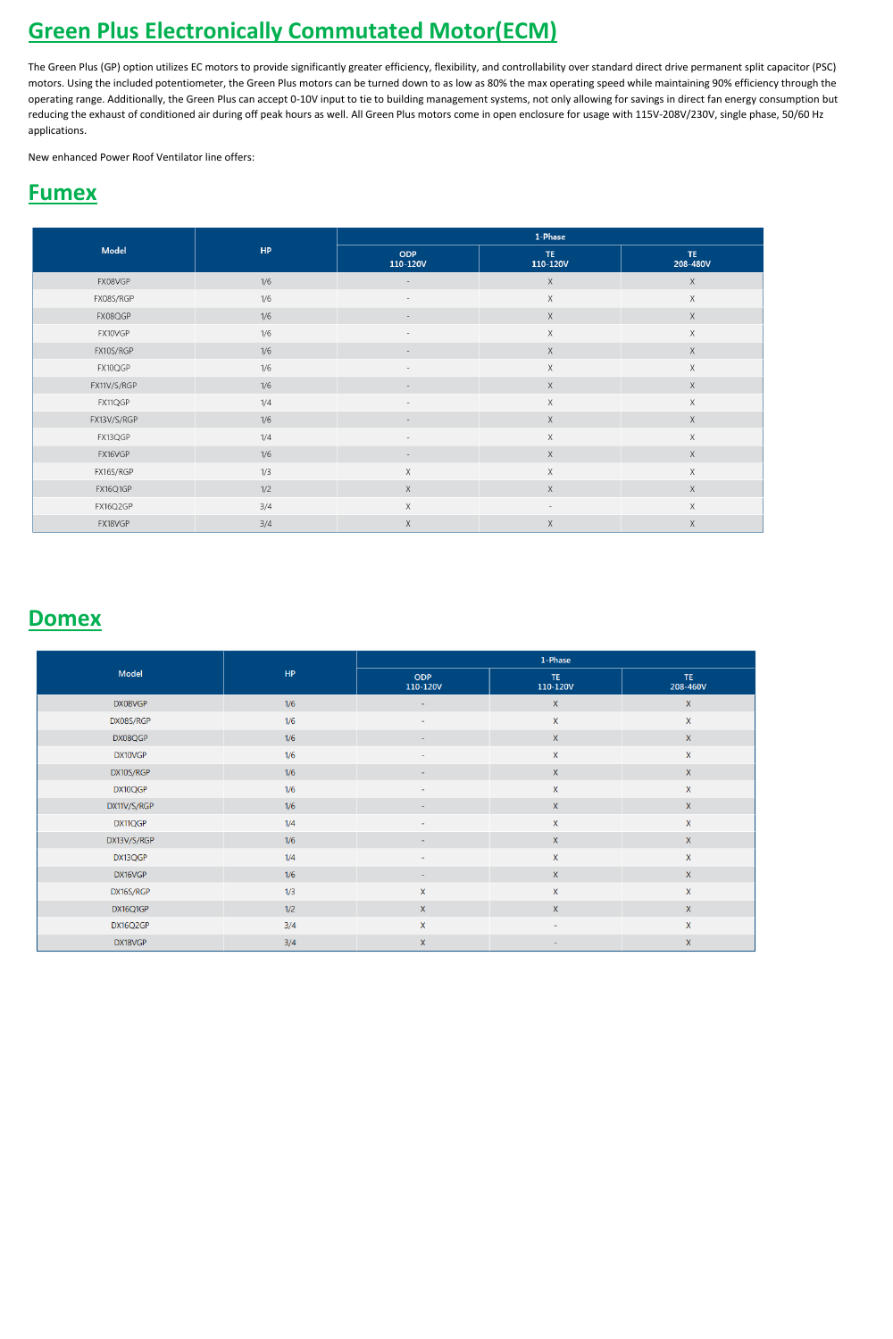# **Green Plus Electronically Commutated Motor(ECM)**

The Green Plus (GP) option utilizes EC motors to provide significantly greater efficiency, flexibility, and controllability over standard direct drive permanent split capacitor (PSC) motors. Using the included potentiometer, the Green Plus motors can be turned down to as low as 80% the max operating speed while maintaining 90% efficiency through the operating range. Additionally, the Green Plus can accept 0-10V input to tie to building management systems, not only allowing for savings in direct fan energy consumption but reducing the exhaust of conditioned air during off peak hours as well. All Green Plus motors come in open enclosure for usage with 115V-208V/230V, single phase, 50/60 Hz applications.

New enhanced Power Roof Ventilator line offers:

## **Fumex**

|             | HP  | 1-Phase                  |                          |                 |  |
|-------------|-----|--------------------------|--------------------------|-----------------|--|
| Model       |     | <b>ODP</b><br>110-120V   | TE.<br>110-120V          | TE.<br>208-480V |  |
| FX08VGP     | 1/6 | $\overline{\phantom{a}}$ | $\mathsf X$              | $\mathsf X$     |  |
| FX08S/RGP   | 1/6 |                          | $\mathsf X$              | $\mathsf X$     |  |
| FX08QGP     | 1/6 |                          | $\mathsf X$              | $\mathsf X$     |  |
| FX10VGP     | 1/6 | $\overline{\phantom{a}}$ | X                        | $\times$        |  |
| FX10S/RGP   | 1/6 | $\overline{\phantom{a}}$ | $\mathsf X$              | $\mathsf X$     |  |
| FX10QGP     | 1/6 | $\overline{\phantom{a}}$ | $\mathsf X$              | $\mathsf X$     |  |
| FX11V/S/RGP | 1/6 |                          | $\mathsf X$              | $\mathsf X$     |  |
| FX11QGP     | 1/4 |                          | $\mathsf X$              | $\mathsf X$     |  |
| FX13V/S/RGP | 1/6 |                          | $\mathsf X$              | $\mathsf X$     |  |
| FX13QGP     | 1/4 | $\overline{\phantom{a}}$ | X                        | X               |  |
| FX16VGP     | 1/6 | $\overline{\phantom{a}}$ | $\mathsf X$              | $\mathsf X$     |  |
| FX16S/RGP   | 1/3 | $\mathsf X$              | X                        | $\mathsf X$     |  |
| FX16Q1GP    | 1/2 | $\mathsf X$              | X                        | $\mathsf X$     |  |
| FX16Q2GP    | 3/4 | $\mathsf X$              | $\overline{\phantom{a}}$ | $\mathsf X$     |  |
| FX18VGP     | 3/4 | $\mathsf X$              | X                        | $\mathsf X$     |  |

#### **Domex**

|             | HP  | 1-Phase                  |                 |                |  |
|-------------|-----|--------------------------|-----------------|----------------|--|
| Model       |     | <b>ODP</b><br>110-120V   | TE.<br>110-120V | TE<br>208-460V |  |
| DX08VGP     | 1/6 |                          | $\mathsf{X}^-$  | $\mathsf{X}$   |  |
| DX08S/RGP   | 1/6 |                          | $\mathsf X$     | $\mathsf X$    |  |
| DX08QGP     | 1/6 | $\blacksquare$           | $\mathsf{X}^-$  | $\mathsf{X}$   |  |
| DX10VGP     | 1/6 | $\sim$                   | X               | $\mathsf X$    |  |
| DX10S/RGP   | 1/6 | $\overline{\phantom{a}}$ | $\mathsf{X}^-$  | $\mathsf{X}$   |  |
| DX10QGP     | 1/6 | $\blacksquare$           | X               | $\mathsf X$    |  |
| DX11V/S/RGP | 1/6 | $\sim$                   | $\mathsf{X}^-$  | $\mathsf X$    |  |
| DX11QGP     | 1/4 | $\sim$                   | $\mathsf X$     | $\mathsf X$    |  |
| DX13V/S/RGP | 1/6 |                          | $\mathsf X$     | $\mathsf{X}$   |  |
| DX13QGP     | 1/4 | $\sim$                   | $\mathsf{X}$    | $\mathsf X$    |  |
| DX16VGP     | 1/6 | $\sim$                   | $\mathsf{X}^-$  | $\mathsf{X}$   |  |
| DX16S/RGP   | 1/3 | $\mathsf X$              | $\mathsf{X}$    | $\mathsf X$    |  |
| DX16Q1GP    | 1/2 | $\mathsf X$              | $\mathsf{X}^-$  | $\mathsf{X}$   |  |
| DX16Q2GP    | 3/4 | $\mathsf{X}$             | ۰.              | $\mathsf{X}$   |  |

| . .<br>- | DX18VGP | -374 |  |  |  |
|----------|---------|------|--|--|--|
|----------|---------|------|--|--|--|